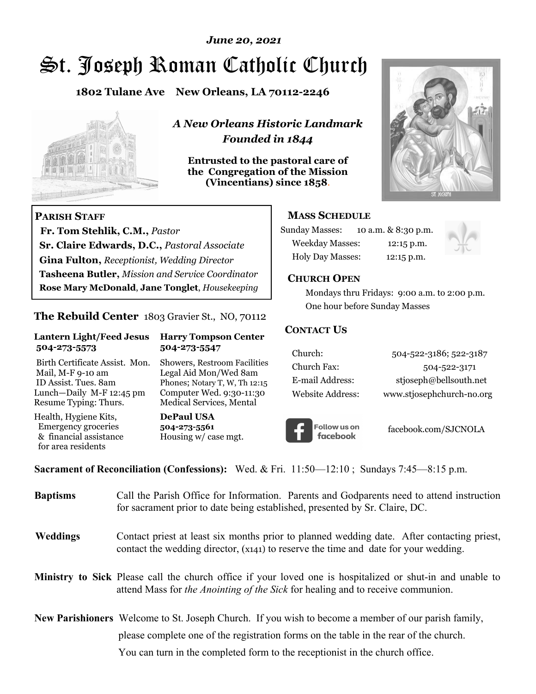### *June 20, 2021*

# St. Joseph Roman Catholic Church

**1802 Tulane Ave New Orleans, LA 70112-2246**



 **Fr. Tom Stehlik, C.M.,** *Pastor* 

**Sr. Claire Edwards, D.C.,** *Pastoral Associate* **Gina Fulton,** *Receptionist, Wedding Director* 

**Tasheena Butler,** *Mission and Service Coordinator* **Rose Mary McDonald**, **Jane Tonglet**, *Housekeeping*

**The Rebuild Center** 1803 Gravier St., NO, 70112

**Lantern Light/Feed Jesus Harry Tompson Center** 

Birth Certificate Assist. Mon. Showers, Restroom Facilities Mail, M-F 9-10 am Legal Aid Mon/Wed 8am ID Assist. Tues. 8am Phones; Notary T, W, Th 12:15 Lunch—Daily M-F 12:45 pm Computer Wed. 9:30-11:30 Resume Typing: Thurs. Medical Services, Mental

 **504-273-5573 504-273-5547** 

Health, Hygiene Kits, **DePaul USA**  Emergency groceries **504-273-5561**

& financial assistance Housing w/ case mgt.

**PARISH STAFF**

for area residents

*A New Orleans Historic Landmark Founded in 1844* 

**Entrusted to the pastoral care of the Congregation of the Mission (Vincentians) since 1858**.



### **MASS SCHEDULE**

| <b>Sunday Masses:</b>  | 10 a.m. & 8:30 p.m. |
|------------------------|---------------------|
| <b>Weekday Masses:</b> | $12:15$ p.m.        |
| Holy Day Masses:       | 12:15 p.m.          |



### **CHURCH OPEN**

 Mondays thru Fridays: 9:00 a.m. to 2:00 p.m. One hour before Sunday Masses

### **CONTACT US**

| Church:          | 504-522-3186; 522-3187    |
|------------------|---------------------------|
| Church Fax:      | 504-522-3171              |
| E-mail Address:  | stjoseph@bellsouth.net    |
| Website Address: | www.stjosephchurch-no.org |



facebook.com/SJCNOLA

**Sacrament of Reconciliation (Confessions):** Wed. & Fri. 11:50—12:10 ; Sundays 7:45—8:15 p.m.

| <b>Baptisms</b> | Call the Parish Office for Information. Parents and Godparents need to attend instruction<br>for sacrament prior to date being established, presented by Sr. Claire, DC.                            |
|-----------------|-----------------------------------------------------------------------------------------------------------------------------------------------------------------------------------------------------|
| <b>Weddings</b> | Contact priest at least six months prior to planned wedding date. After contacting priest,<br>contact the wedding director, (x141) to reserve the time and date for your wedding.                   |
|                 | Ministry to Sick Please call the church office if your loved one is hospitalized or shut-in and unable to<br>attend Mass for <i>the Anointing of the Sick</i> for healing and to receive communion. |
|                 | <b>New Parishioners</b> Welcome to St. Joseph Church. If you wish to become a member of our parish family,                                                                                          |
|                 | please complete one of the registration forms on the table in the rear of the church.                                                                                                               |
|                 | You can turn in the completed form to the reception is the church office.                                                                                                                           |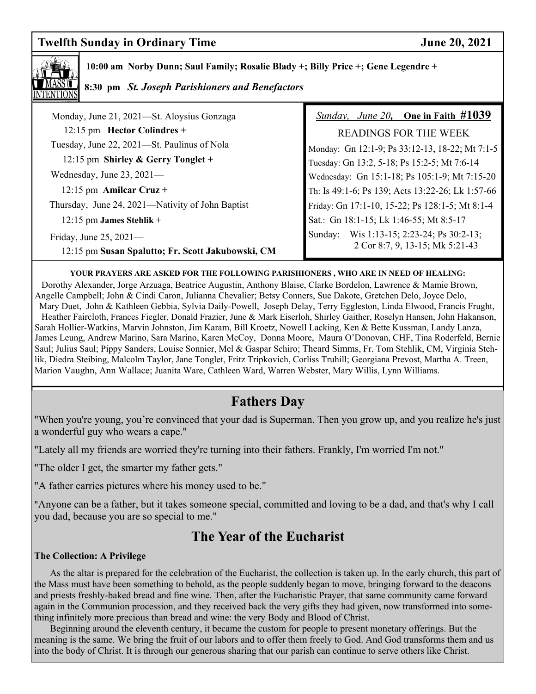# **Twelfth Sunday in Ordinary Time 30, 2021**



 **10:00 am Norby Dunn; Saul Family; Rosalie Blady +; Billy Price +; Gene Legendre +** 

### **8:30 pm** *St. Joseph Parishioners and Benefactors*

| Monday, June 21, 2021—St. Aloysius Gonzaga                                     | Sunday, June 20, One in Faith $\#1039$                                          |
|--------------------------------------------------------------------------------|---------------------------------------------------------------------------------|
| 12:15 pm Hector Colindres $+$                                                  | <b>READINGS FOR THE WEEK</b>                                                    |
| Tuesday, June 22, 2021—St. Paulinus of Nola                                    | Monday: Gn 12:1-9; Ps 33:12-13, 18-22; Mt 7:1-5                                 |
| 12:15 pm Shirley & Gerry Tonglet +                                             | Tuesday: Gn 13:2, 5-18; Ps 15:2-5; Mt 7:6-14                                    |
| Wednesday, June $23, 2021$ —                                                   | Wednesday: Gn 15:1-18; Ps 105:1-9; Mt 7:15-20                                   |
| 12:15 pm Amilcar Cruz +                                                        | Th: Is 49:1-6; Ps 139; Acts 13:22-26; Lk 1:57-66                                |
| Thursday, June 24, 2021—Nativity of John Baptist                               | Friday: Gn 17:1-10, 15-22; Ps 128:1-5; Mt 8:1-4                                 |
| $12:15$ pm James Stehlik +                                                     | Sat.: Gn 18:1-15; Lk 1:46-55; Mt 8:5-17                                         |
| Friday, June $25, 2021$ —<br>12:15 pm Susan Spalutto; Fr. Scott Jakubowski, CM | Wis 1:13-15; 2:23-24; Ps 30:2-13;<br>Sunday:<br>2 Cor 8:7, 9, 13-15; Mk 5:21-43 |
|                                                                                |                                                                                 |

**YOUR PRAYERS ARE ASKED FOR THE FOLLOWING PARISHIONERS , WHO ARE IN NEED OF HEALING:** 

 Dorothy Alexander, Jorge Arzuaga, Beatrice Augustin, Anthony Blaise, Clarke Bordelon, Lawrence & Mamie Brown, Angelle Campbell; John & Cindi Caron, Julianna Chevalier; Betsy Conners, Sue Dakote, Gretchen Delo, Joyce Delo, Mary Duet, John & Kathleen Gebbia, Sylvia Daily-Powell, Joseph Delay, Terry Eggleston, Linda Elwood, Francis Frught, Heather Faircloth, Frances Fiegler, Donald Frazier, June & Mark Eiserloh, Shirley Gaither, Roselyn Hansen, John Hakanson, Sarah Hollier-Watkins, Marvin Johnston, Jim Karam, Bill Kroetz, Nowell Lacking, Ken & Bette Kussman, Landy Lanza, James Leung, Andrew Marino, Sara Marino, Karen McCoy, Donna Moore, Maura O'Donovan, CHF, Tina Roderfeld, Bernie Saul; Julius Saul; Pippy Sanders, Louise Sonnier, Mel & Gaspar Schiro; Theard Simms, Fr. Tom Stehlik, CM, Virginia Stehlik, Diedra Steibing, Malcolm Taylor, Jane Tonglet, Fritz Tripkovich, Corliss Truhill; Georgiana Prevost, Martha A. Treen, Marion Vaughn, Ann Wallace; Juanita Ware, Cathleen Ward, Warren Webster, Mary Willis, Lynn Williams.

# **Fathers Day**

"When you're young, you're convinced that your dad is Superman. Then you grow up, and you realize he's just a wonderful guy who wears a cape."

"Lately all my friends are worried they're turning into their fathers. Frankly, I'm worried I'm not."

"The older I get, the smarter my father gets."

"A father carries pictures where his money used to be."

"Anyone can be a father, but it takes someone special, committed and loving to be a dad, and that's why I call you dad, because you are so special to me."

# **The Year of the Eucharist**

### **The Collection: A Privilege**

 As the altar is prepared for the celebration of the Eucharist, the collection is taken up. In the early church, this part of the Mass must have been something to behold, as the people suddenly began to move, bringing forward to the deacons and priests freshly-baked bread and fine wine. Then, after the Eucharistic Prayer, that same community came forward again in the Communion procession, and they received back the very gifts they had given, now transformed into something infinitely more precious than bread and wine: the very Body and Blood of Christ.

 Beginning around the eleventh century, it became the custom for people to present monetary offerings. But the meaning is the same. We bring the fruit of our labors and to offer them freely to God. And God transforms them and us into the body of Christ. It is through our generous sharing that our parish can continue to serve others like Christ.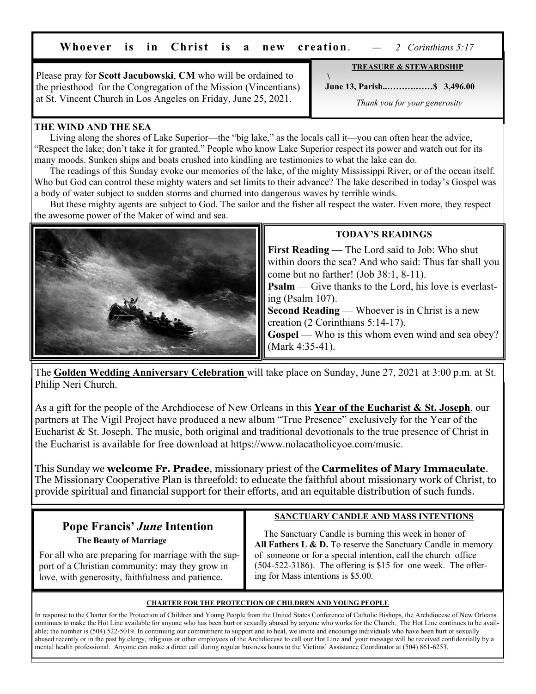**Whoever is in Christ is a new creation**. *— 2 Corinthians 5:17*

Please pray for **Scott Jacubowski**, **CM** who will be ordained to the priesthood for the Congregation of the Mission (Vincentians) at St. Vincent Church in Los Angeles on Friday, June 25, 2021.

 **June 13, Parish..……….……\$ 3,496.00** 

*Thank you for your generosity*

**TREASURE & STEWARDSHIP**

### **THE WIND AND THE SEA**

 Living along the shores of Lake Superior—the "big lake," as the locals call it—you can often hear the advice, "Respect the lake; don't take it for granted." People who know Lake Superior respect its power and watch out for its many moods. Sunken ships and boats crushed into kindling are testimonies to what the lake can do.

 The readings of this Sunday evoke our memories of the lake, of the mighty Mississippi River, or of the ocean itself. Who but God can control these mighty waters and set limits to their advance? The lake described in today's Gospel was a body of water subject to sudden storms and churned into dangerous waves by terrible winds.

 $\rightarrow$   $\lambda$ 

 But these mighty agents are subject to God. The sailor and the fisher all respect the water. Even more, they respect the awesome power of the Maker of wind and sea.



### **TODAY'S READINGS**

**First Reading** — The Lord said to Job: Who shut within doors the sea? And who said: Thus far shall you come but no farther! (Job 38:1, 8-11).

**Psalm** — Give thanks to the Lord, his love is everlasting (Psalm 107).

**Second Reading** — Whoever is in Christ is a new creation (2 Corinthians 5:14-17).

**Gospel** — Who is this whom even wind and sea obey? (Mark 4:35-41).

The **Golden Wedding Anniversary Celebration** will take place on Sunday, June 27, 2021 at 3:00 p.m. at St. Philip Neri Church.

As a gift for the people of the Archdiocese of New Orleans in this **Year of the Eucharist & St. Joseph**, our partners at The Vigil Project have produced a new album "True Presence" exclusively for the Year of the Eucharist & St. Joseph. The music, both original and traditional devotionals to the true presence of Christ in the Eucharist is available for free download at https://www.nolacatholicyoe.com/music.

This Sunday we **welcome Fr. Pradee**, missionary priest of the **Carmelites of Mary Immaculate**. The Missionary Cooperative Plan is threefold: to educate the faithful about missionary work of Christ, to provide spiritual and financial support for their efforts, and an equitable distribution of such funds.

# **Pope Francis'** *June* **Intention**

 **The Beauty of Marriage** 

 For all who are preparing for marriage with the sup port of a Christian community: may they grow in love, with generosity, faithfulness and patience.

### **SANCTUARY CANDLE AND MASS INTENTIONS**

 The Sanctuary Candle is burning this week in honor of All Fathers L & D. To reserve the Sanctuary Candle in memory of someone or for a special intention, call the church office (504-522-3186). The offering is \$15 for one week. The offering for Mass intentions is \$5.00.

#### **CHARTER FOR THE PROTECTION OF CHILDREN AND YOUNG PEOPLE**

In response to the Charter for the Protection of Children and Young People from the United States Conference of Catholic Bishops, the Archdiocese of New Orleans continues to make the Hot Line available for anyone who has been hurt or sexually abused by anyone who works for the Church. The Hot Line continues to be available; the number is (504) 522-5019. In continuing our commitment to support and to heal, we invite and encourage individuals who have been hurt or sexually abused recently or in the past by clergy, religious or other employees of the Archdiocese to call our Hot Line and your message will be received confidentially by a mental health professional. Anyone can make a direct call during regular business hours to the Victims' Assistance Coordinator at (504) 861-6253.